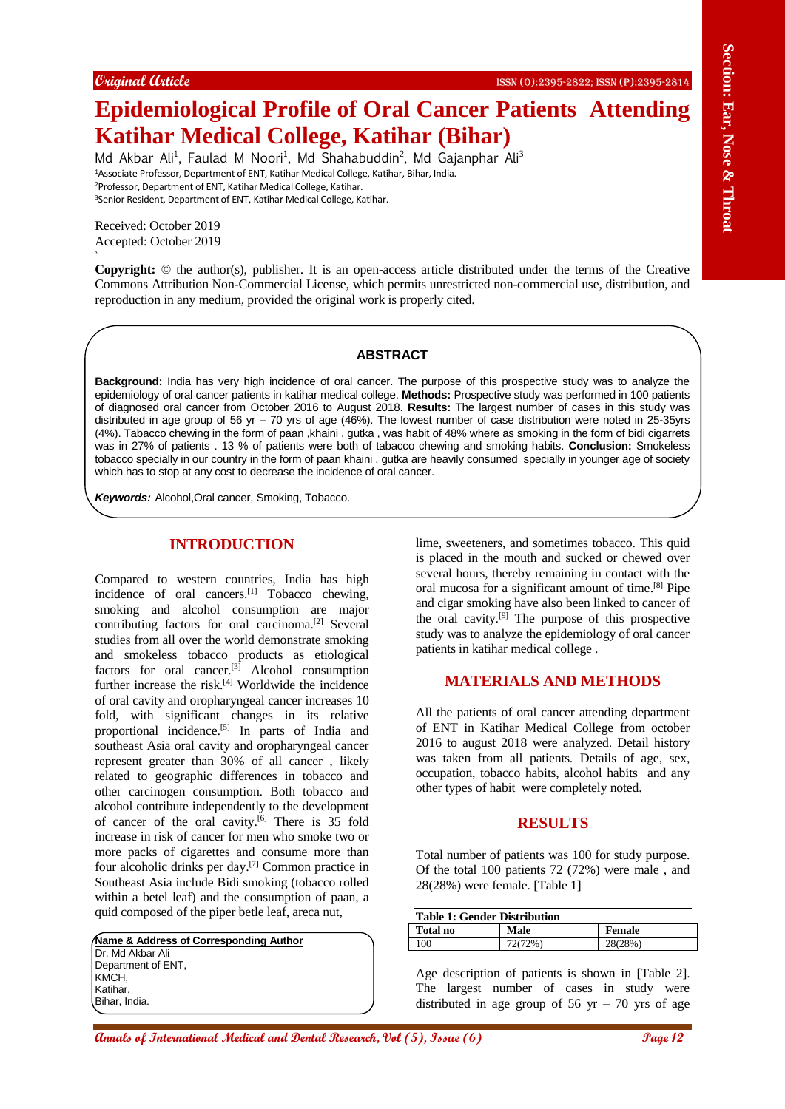# **Epidemiological Profile of Oral Cancer Patients Attending Katihar Medical College, Katihar (Bihar)**

Md Akbar Ali<sup>1</sup>, Faulad M Noori<sup>1</sup>, Md Shahabuddin<sup>2</sup>, Md Gajanphar Ali<sup>3</sup> Associate Professor, Department of ENT, Katihar Medical College, Katihar, Bihar, India. Professor, Department of ENT, Katihar Medical College, Katihar. Senior Resident, Department of ENT, Katihar Medical College, Katihar.

Received: October 2019 Accepted: October 2019

` **Copyright:** © the author(s), publisher. It is an open-access article distributed under the terms of the Creative Commons Attribution Non-Commercial License, which permits unrestricted non-commercial use, distribution, and reproduction in any medium, provided the original work is properly cited.

#### **ABSTRACT**

**Background:** India has very high incidence of oral cancer. The purpose of this prospective study was to analyze the epidemiology of oral cancer patients in katihar medical college. **Methods:** Prospective study was performed in 100 patients of diagnosed oral cancer from October 2016 to August 2018. **Results:** The largest number of cases in this study was distributed in age group of 56 yr – 70 yrs of age (46%). The lowest number of case distribution were noted in 25-35yrs (4%). Tabacco chewing in the form of paan ,khaini , gutka , was habit of 48% where as smoking in the form of bidi cigarrets was in 27% of patients . 13 % of patients were both of tabacco chewing and smoking habits. **Conclusion:** Smokeless tobacco specially in our country in the form of paan khaini , gutka are heavily consumed specially in younger age of society which has to stop at any cost to decrease the incidence of oral cancer.

*Keywords:* Alcohol,Oral cancer, Smoking, Tobacco.

# **INTRODUCTION**

Conject (take **Exceptional Annals of Consumer Consumer Consumer Consumer Consumer Consumer Consumer Consumer Consumer Consumer Consumer Consumer Consumer Consumer Consumer Consumer Consumer Consumer Consumer Consumer Cons** Compared to western countries, India has high incidence of oral cancers.<sup>[1]</sup> Tobacco chewing, smoking and alcohol consumption are major contributing factors for oral carcinoma. [2] Several studies from all over the world demonstrate smoking and smokeless tobacco products as etiological factors for oral cancer.<sup>[3]</sup> Alcohol consumption further increase the risk.<sup>[4]</sup> Worldwide the incidence of oral cavity and oropharyngeal cancer increases 10 fold, with significant changes in its relative proportional incidence.<sup>[5]</sup> In parts of India and southeast Asia oral cavity and oropharyngeal cancer represent greater than 30% of all cancer , likely related to geographic differences in tobacco and other carcinogen consumption. Both tobacco and alcohol contribute independently to the development of cancer of the oral cavity.<sup>[6]</sup> There is 35 fold increase in risk of cancer for men who smoke two or more packs of cigarettes and consume more than four alcoholic drinks per day. [7] Common practice in Southeast Asia include Bidi smoking (tobacco rolled within a betel leaf) and the consumption of paan, a quid composed of the piper betle leaf, areca nut,

**Name & Address of Corresponding Author** Dr. Md Akbar Ali Department of ENT, KMCH, Katihar, Bihar, India.

lime, sweeteners, and sometimes tobacco. This quid is placed in the mouth and sucked or chewed over several hours, thereby remaining in contact with the oral mucosa for a significant amount of time. [8] Pipe and cigar smoking have also been linked to cancer of the oral cavity. [9] The purpose of this prospective study was to analyze the epidemiology of oral cancer patients in katihar medical college .

### **MATERIALS AND METHODS**

All the patients of oral cancer attending department of ENT in Katihar Medical College from october 2016 to august 2018 were analyzed. Detail history was taken from all patients. Details of age, sex, occupation, tobacco habits, alcohol habits and any other types of habit were completely noted.

### **RESULTS**

Total number of patients was 100 for study purpose. Of the total 100 patients 72 (72%) were male , and 28(28%) were female. [Table 1]

| Table 1: Gender Distribution |         |         |  |
|------------------------------|---------|---------|--|
| Total no                     | Male    | Female  |  |
| 100                          | 72(72%) | 28(28%) |  |

Age description of patients is shown in [Table 2]. The largest number of cases in study were distributed in age group of  $56$  yr  $-70$  yrs of age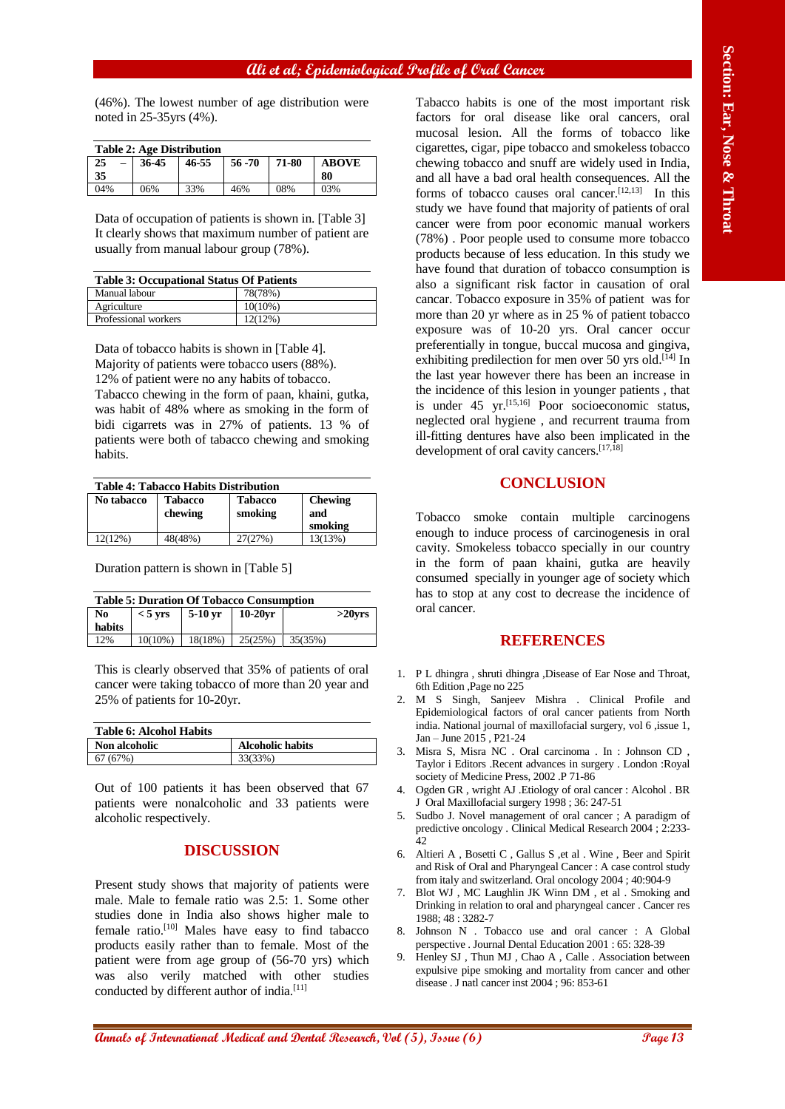## **Ali et al; Epidemiological Profile of Oral Cancer**

(46%). The lowest number of age distribution were noted in 25-35yrs (4%).

| <b>Table 2: Age Distribution</b> |       |       |         |       |              |
|----------------------------------|-------|-------|---------|-------|--------------|
| 25<br>$\overline{\phantom{m}}$   | 36-45 | 46-55 | 56 - 70 | 71-80 | <b>ABOVE</b> |
| 35                               |       |       |         |       | 80           |
| 04%                              | 06%   | 33%   | 46%     | 08%   | 03%          |

Data of occupation of patients is shown in. [Table 3] It clearly shows that maximum number of patient are usually from manual labour group (78%).

| <b>Table 3: Occupational Status Of Patients</b> |            |  |
|-------------------------------------------------|------------|--|
| Manual labour                                   | 78(78%)    |  |
| Agriculture                                     | $10(10\%)$ |  |
| Professional workers                            | 12(12%)    |  |

Data of tobacco habits is shown in [Table 4]. Majority of patients were tobacco users (88%). 12% of patient were no any habits of tobacco. Tabacco chewing in the form of paan, khaini, gutka, was habit of 48% where as smoking in the form of bidi cigarrets was in 27% of patients. 13 % of patients were both of tabacco chewing and smoking habits.

| <b>Table 4: Tabacco Habits Distribution</b> |                |                |                |  |
|---------------------------------------------|----------------|----------------|----------------|--|
| No tabacco                                  | <b>Tabacco</b> | Tabacco        | <b>Chewing</b> |  |
|                                             | ale avvience i | المحتام ومحمرا | الممحم         |  |

| TW tabacco | 1 avacco<br>chewing | Tavacco<br>smoking | <b>CHEWINE</b><br>and<br>smoking |
|------------|---------------------|--------------------|----------------------------------|
| 12(12%)    | 48(48%)             | 27(27%)            | 13(13%)                          |

Duration pattern is shown in [Table 5]

| <b>Table 5: Duration Of Tobacco Consumption</b> |  |                                                   |  |           |
|-------------------------------------------------|--|---------------------------------------------------|--|-----------|
| No.                                             |  | $< 5$ yrs   5-10 yr   10-20 yr                    |  | $>20$ vrs |
| habits                                          |  |                                                   |  |           |
| 12%                                             |  | $10(10\%)$   $18(18\%)$   $25(25\%)$   $35(35\%)$ |  |           |

This is clearly observed that 35% of patients of oral cancer were taking tobacco of more than 20 year and 25% of patients for 10-20yr.

| <b>Table 6: Alcohol Habits</b> |                         |
|--------------------------------|-------------------------|
| <b>Non alcoholic</b>           | <b>Alcoholic habits</b> |
| 67(67%)                        | 33(33%)                 |

Out of 100 patients it has been observed that 67 patients were nonalcoholic and 33 patients were alcoholic respectively.

### **DISCUSSION**

Present study shows that majority of patients were male. Male to female ratio was 2.5: 1. Some other studies done in India also shows higher male to female ratio.[10] Males have easy to find tabacco products easily rather than to female. Most of the patient were from age group of (56-70 yrs) which was also verily matched with other studies conducted by different author of india.<sup>[11]</sup>

**Annals of Control of Control of Control of Control of Control of the Control of Control of Control of Control of Control of Control of Control of Control of Control of Control of Control of Control of Control of Control** Tabacco habits is one of the most important risk factors for oral disease like oral cancers, oral mucosal lesion. All the forms of tobacco like cigarettes, cigar, pipe tobacco and smokeless tobacco chewing tobacco and snuff are widely used in India, and all have a bad oral health consequences. All the forms of tobacco causes oral cancer.<sup>[12,13]</sup> In this study we have found that majority of patients of oral cancer were from poor economic manual workers (78%) . Poor people used to consume more tobacco products because of less education. In this study we have found that duration of tobacco consumption is also a significant risk factor in causation of oral cancar. Tobacco exposure in 35% of patient was for more than 20 yr where as in 25 % of patient tobacco exposure was of 10-20 yrs. Oral cancer occur preferentially in tongue, buccal mucosa and gingiva, exhibiting predilection for men over 50 yrs old.<sup>[14]</sup> In the last year however there has been an increase in the incidence of this lesion in younger patients , that is under 45 yr. [15,16] Poor socioeconomic status, neglected oral hygiene , and recurrent trauma from ill-fitting dentures have also been implicated in the development of oral cavity cancers. [17,18]

### **CONCLUSION**

Tobacco smoke contain multiple carcinogens enough to induce process of carcinogenesis in oral cavity. Smokeless tobacco specially in our country in the form of paan khaini, gutka are heavily consumed specially in younger age of society which has to stop at any cost to decrease the incidence of oral cancer.

#### **REFERENCES**

- 1. P L dhingra, shruti dhingra, Disease of Ear Nose and Throat, 6th Edition ,Page no 225
- 2. M S Singh, Sanjeev Mishra . Clinical Profile and Epidemiological factors of oral cancer patients from North india. National journal of maxillofacial surgery, vol 6 ,issue 1, Jan – June 2015 , P21-24
- 3. Misra S, Misra NC . Oral carcinoma . In : Johnson CD , Taylor i Editors .Recent advances in surgery . London :Royal society of Medicine Press, 2002 .P 71-86
- 4. Ogden GR , wright AJ .Etiology of oral cancer : Alcohol . BR J Oral Maxillofacial surgery 1998 ; 36: 247-51
- 5. Sudbo J. Novel management of oral cancer ; A paradigm of predictive oncology . Clinical Medical Research 2004 ; 2:233- 42
- 6. Altieri A , Bosetti C , Gallus S ,et al . Wine , Beer and Spirit and Risk of Oral and Pharyngeal Cancer : A case control study from italy and switzerland. Oral oncology 2004 ; 40:904-9
- 7. Blot WJ , MC Laughlin JK Winn DM , et al . Smoking and Drinking in relation to oral and pharyngeal cancer . Cancer res 1988; 48 : 3282-7
- 8. Johnson N . Tobacco use and oral cancer : A Global perspective . Journal Dental Education 2001 : 65: 328-39
- Henley SJ, Thun MJ, Chao A, Calle . Association between expulsive pipe smoking and mortality from cancer and other disease . J natl cancer inst 2004 ; 96: 853-61